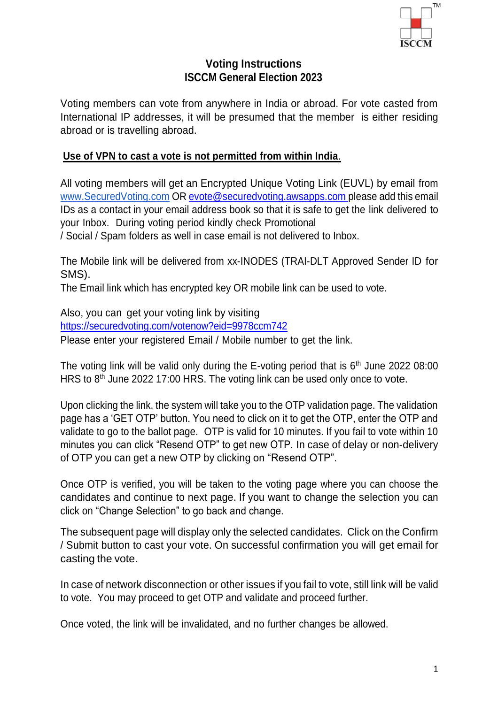

## **Voting Instructions ISCCM General Election 2023**

Voting members can vote from anywhere in India or abroad. For vote casted from International IP addresses, it will be presumed that the member is either residing abroad or is travelling abroad.

## **Use of VPN to cast a vote is not permitted from within India**.

All voting members will get an Encrypted Unique Voting Link (EUVL) by email from [www.SecuredVoting.com](http://www.securedvoting.com/) OR [evote@securedvoting.awsapps.com please](mailto:evote@securedvoting.awsapps.complease) add this email IDs as a contact in your email address book so that it is safe to get the link delivered to your Inbox. During voting period kindly check Promotional

/ Social / Spam folders as well in case email is not delivered to Inbox.

The Mobile link will be delivered from xx-INODES (TRAI-DLT Approved Sender ID for SMS).

The Email link which has encrypted key OR mobile link can be used to vote.

Also, you can get your voting link by visiting https://securedvoting.com/votenow?eid=9978ccm742 Please enter your registered Email / Mobile number to get the link.

The voting link will be valid only during the E-voting period that is  $6<sup>th</sup>$  June 2022 08:00 HRS to  $8<sup>th</sup>$  June 2022 17:00 HRS. The voting link can be used only once to vote.

Upon clicking the link, the system will take you to the OTP validation page. The validation page has a 'GET OTP' button. You need to click on it to get the OTP, enter the OTP and validate to go to the ballot page. OTP is valid for 10 minutes. If you fail to vote within 10 minutes you can click "Resend OTP" to get new OTP. In case of delay or non-delivery of OTP you can get a new OTP by clicking on "Resend OTP".

Once OTP is verified, you will be taken to the voting page where you can choose the candidates and continue to next page. If you want to change the selection you can click on "Change Selection" to go back and change.

The subsequent page will display only the selected candidates. Click on the Confirm / Submit button to cast your vote. On successful confirmation you will get email for casting the vote.

In case of network disconnection or other issues if you fail to vote, still link will be valid to vote. You may proceed to get OTP and validate and proceed further.

Once voted, the link will be invalidated, and no further changes be allowed.